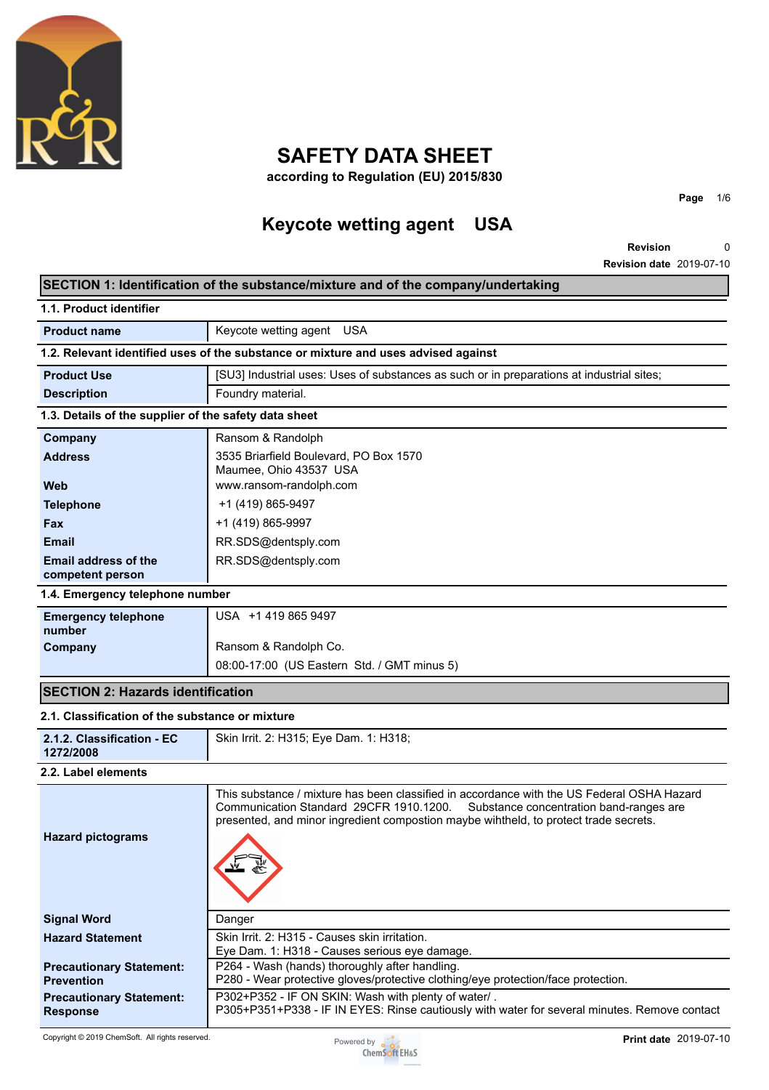

# **SAFETY DATA SHEET**

**according to Regulation (EU) 2015/830**

# **Keycote wetting agent USA**

**Revision Revision date** 2019-07-10 0

**Page** 1/6

### **SECTION 1: Identification of the substance/mixture and of the company/undertaking**

| 1.1. Product identifier                               |                                                                                                                                                                                                                                                                          |
|-------------------------------------------------------|--------------------------------------------------------------------------------------------------------------------------------------------------------------------------------------------------------------------------------------------------------------------------|
| <b>Product name</b>                                   | Keycote wetting agent USA                                                                                                                                                                                                                                                |
|                                                       | 1.2. Relevant identified uses of the substance or mixture and uses advised against                                                                                                                                                                                       |
| <b>Product Use</b>                                    | [SU3] Industrial uses: Uses of substances as such or in preparations at industrial sites;                                                                                                                                                                                |
| <b>Description</b>                                    | Foundry material.                                                                                                                                                                                                                                                        |
| 1.3. Details of the supplier of the safety data sheet |                                                                                                                                                                                                                                                                          |
| Company                                               | Ransom & Randolph                                                                                                                                                                                                                                                        |
| <b>Address</b>                                        | 3535 Briarfield Boulevard, PO Box 1570<br>Maumee, Ohio 43537 USA                                                                                                                                                                                                         |
| <b>Web</b>                                            | www.ransom-randolph.com                                                                                                                                                                                                                                                  |
| <b>Telephone</b>                                      | +1 (419) 865-9497                                                                                                                                                                                                                                                        |
| Fax                                                   | +1 (419) 865-9997                                                                                                                                                                                                                                                        |
| <b>Email</b>                                          | RR.SDS@dentsply.com                                                                                                                                                                                                                                                      |
| Email address of the<br>competent person              | RR.SDS@dentsply.com                                                                                                                                                                                                                                                      |
| 1.4. Emergency telephone number                       |                                                                                                                                                                                                                                                                          |
| <b>Emergency telephone</b><br>number                  | USA +1 419 865 9497                                                                                                                                                                                                                                                      |
| Company                                               | Ransom & Randolph Co.                                                                                                                                                                                                                                                    |
|                                                       | 08:00-17:00 (US Eastern Std. / GMT minus 5)                                                                                                                                                                                                                              |
| <b>SECTION 2: Hazards identification</b>              |                                                                                                                                                                                                                                                                          |
| 2.1. Classification of the substance or mixture       |                                                                                                                                                                                                                                                                          |
| 2.1.2. Classification - EC<br>1272/2008               | Skin Irrit. 2: H315; Eye Dam. 1: H318;                                                                                                                                                                                                                                   |
| 2.2. Label elements                                   |                                                                                                                                                                                                                                                                          |
| <b>Hazard pictograms</b>                              | This substance / mixture has been classified in accordance with the US Federal OSHA Hazard<br>Communication Standard 29CFR 1910.1200.<br>Substance concentration band-ranges are<br>presented, and minor ingredient compostion maybe wihtheld, to protect trade secrets. |
|                                                       | Danger                                                                                                                                                                                                                                                                   |
| <b>Signal Word</b>                                    |                                                                                                                                                                                                                                                                          |
| <b>Hazard Statement</b>                               | Skin Irrit. 2: H315 - Causes skin irritation.                                                                                                                                                                                                                            |
| <b>Precautionary Statement:</b><br><b>Prevention</b>  | Eye Dam. 1: H318 - Causes serious eye damage.<br>P264 - Wash (hands) thoroughly after handling.<br>P280 - Wear protective gloves/protective clothing/eye protection/face protection.                                                                                     |

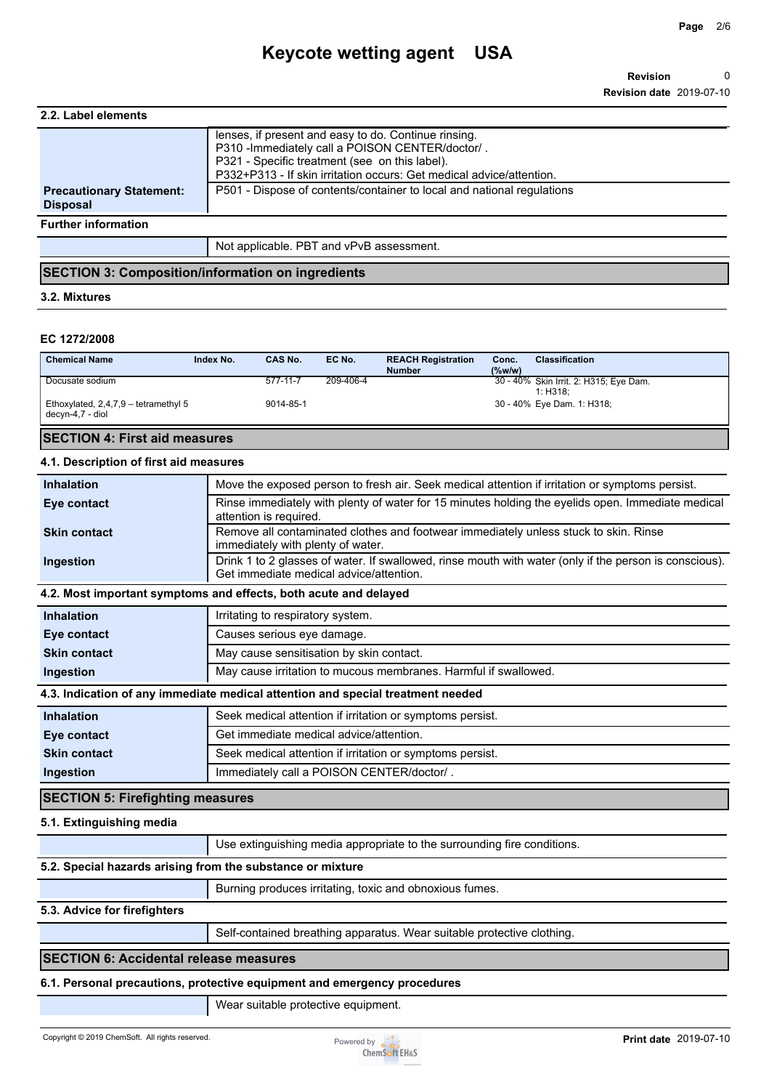## **Keycote wetting agent USA**

| 2.2. Label elements                                |                                                                                                                                                                                                                                    |
|----------------------------------------------------|------------------------------------------------------------------------------------------------------------------------------------------------------------------------------------------------------------------------------------|
|                                                    | lenses, if present and easy to do. Continue rinsing.<br>P310 - Immediately call a POISON CENTER/doctor/.<br>P321 - Specific treatment (see on this label).<br>P332+P313 - If skin irritation occurs: Get medical advice/attention. |
| <b>Precautionary Statement:</b><br><b>Disposal</b> | P501 - Dispose of contents/container to local and national regulations                                                                                                                                                             |
| <b>Further information</b>                         |                                                                                                                                                                                                                                    |
|                                                    | Not applicable. PBT and vPvB assessment.                                                                                                                                                                                           |

#### **SECTION 3: Composition/information on ingredients**

#### **3.2. Mixtures**

#### **EC 1272/2008**

| <b>Chemical Name</b>                                       | Index No. | CAS No.   | EC No.    | <b>REACH Registration</b><br><b>Number</b> | Conc.<br>$(\%w/w)$ | <b>Classification</b>                              |
|------------------------------------------------------------|-----------|-----------|-----------|--------------------------------------------|--------------------|----------------------------------------------------|
| Docusate sodium                                            |           | 577-11-7  | 209-406-4 |                                            |                    | 30 - 40% Skin Irrit. 2: H315; Eye Dam.<br>1: H318: |
| Ethoxylated, $2,4,7,9$ – tetramethyl 5<br>decyn-4,7 - diol |           | 9014-85-1 |           |                                            |                    | 30 - 40% Eye Dam. 1: H318;                         |

#### **SECTION 4: First aid measures**

#### **4.1. Description of first aid measures**

| <b>Inhalation</b>                       | Move the exposed person to fresh air. Seek medical attention if irritation or symptoms persist.                                                   |
|-----------------------------------------|---------------------------------------------------------------------------------------------------------------------------------------------------|
| Eye contact                             | Rinse immediately with plenty of water for 15 minutes holding the eyelids open. Immediate medical<br>attention is required.                       |
| <b>Skin contact</b>                     | Remove all contaminated clothes and footwear immediately unless stuck to skin. Rinse<br>immediately with plenty of water.                         |
| Ingestion                               | Drink 1 to 2 glasses of water. If swallowed, rinse mouth with water (only if the person is conscious).<br>Get immediate medical advice/attention. |
|                                         | 4.2. Most important symptoms and effects, both acute and delayed                                                                                  |
| <b>Inhalation</b>                       | Irritating to respiratory system.                                                                                                                 |
| Eye contact                             | Causes serious eye damage.                                                                                                                        |
| <b>Skin contact</b>                     | May cause sensitisation by skin contact.                                                                                                          |
| Ingestion                               | May cause irritation to mucous membranes. Harmful if swallowed.                                                                                   |
|                                         | 4.3. Indication of any immediate medical attention and special treatment needed                                                                   |
| <b>Inhalation</b>                       | Seek medical attention if irritation or symptoms persist.                                                                                         |
| Eye contact                             | Get immediate medical advice/attention.                                                                                                           |
| <b>Skin contact</b>                     | Seek medical attention if irritation or symptoms persist.                                                                                         |
| Ingestion                               | Immediately call a POISON CENTER/doctor/.                                                                                                         |
| <b>SECTION 5: Firefighting measures</b> |                                                                                                                                                   |
| 5.1. Extinguishing media                |                                                                                                                                                   |
|                                         | Use extinguishing media appropriate to the surrounding fire conditions.                                                                           |
|                                         |                                                                                                                                                   |

#### **5.2. Special hazards arising from the substance or mixture**

Burning produces irritating, toxic and obnoxious fumes.

#### **5.3. Advice for firefighters**

Self-contained breathing apparatus. Wear suitable protective clothing.

#### **SECTION 6: Accidental release measures**

#### **6.1. Personal precautions, protective equipment and emergency procedures**

Wear suitable protective equipment.

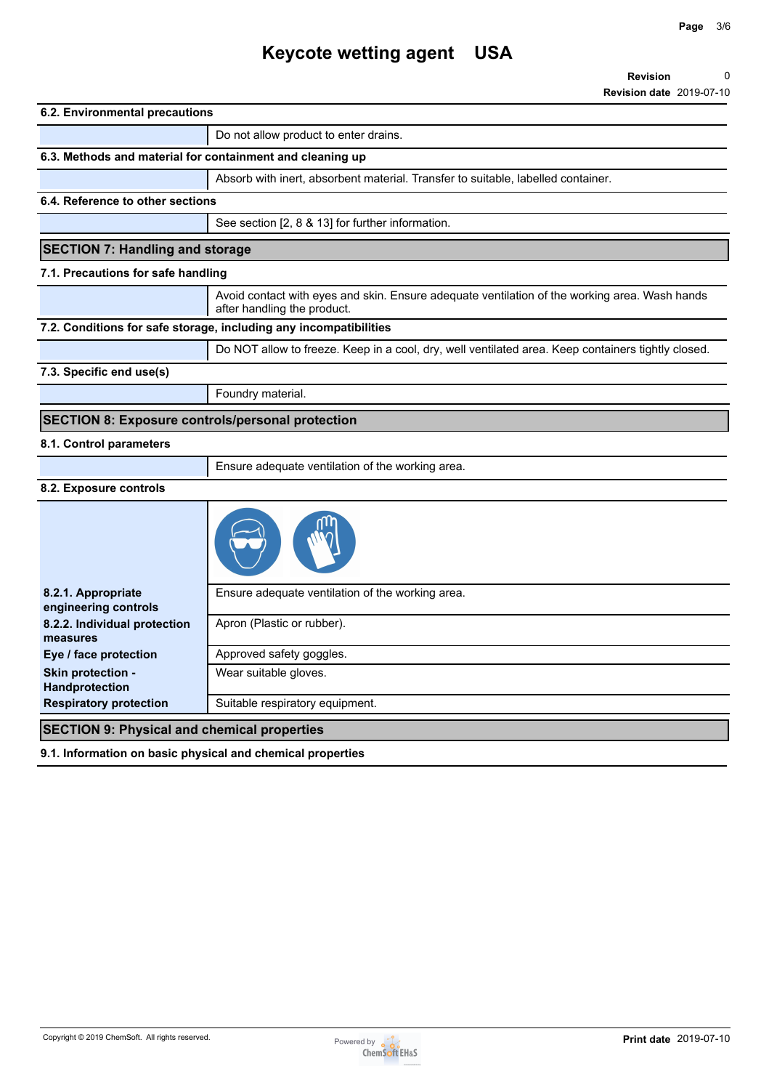# **Keycote wetting agent USA**

| 6.2. Environmental precautions                          |                                                                                                                              |
|---------------------------------------------------------|------------------------------------------------------------------------------------------------------------------------------|
|                                                         | Do not allow product to enter drains.                                                                                        |
|                                                         | 6.3. Methods and material for containment and cleaning up                                                                    |
|                                                         | Absorb with inert, absorbent material. Transfer to suitable, labelled container.                                             |
| 6.4. Reference to other sections                        |                                                                                                                              |
|                                                         | See section [2, 8 & 13] for further information.                                                                             |
| <b>SECTION 7: Handling and storage</b>                  |                                                                                                                              |
| 7.1. Precautions for safe handling                      |                                                                                                                              |
|                                                         | Avoid contact with eyes and skin. Ensure adequate ventilation of the working area. Wash hands<br>after handling the product. |
|                                                         | 7.2. Conditions for safe storage, including any incompatibilities                                                            |
|                                                         | Do NOT allow to freeze. Keep in a cool, dry, well ventilated area. Keep containers tightly closed.                           |
| 7.3. Specific end use(s)                                |                                                                                                                              |
|                                                         | Foundry material.                                                                                                            |
| <b>SECTION 8: Exposure controls/personal protection</b> |                                                                                                                              |
|                                                         |                                                                                                                              |
| 8.1. Control parameters                                 |                                                                                                                              |
|                                                         | Ensure adequate ventilation of the working area.                                                                             |
| 8.2. Exposure controls                                  |                                                                                                                              |
|                                                         |                                                                                                                              |
| 8.2.1. Appropriate<br>engineering controls              | Ensure adequate ventilation of the working area.                                                                             |
| 8.2.2. Individual protection<br>measures                | Apron (Plastic or rubber).                                                                                                   |
| Eye / face protection                                   | Approved safety goggles.                                                                                                     |
| Skin protection -<br>Handprotection                     | Wear suitable gloves.                                                                                                        |

**9.1. Information on basic physical and chemical properties**

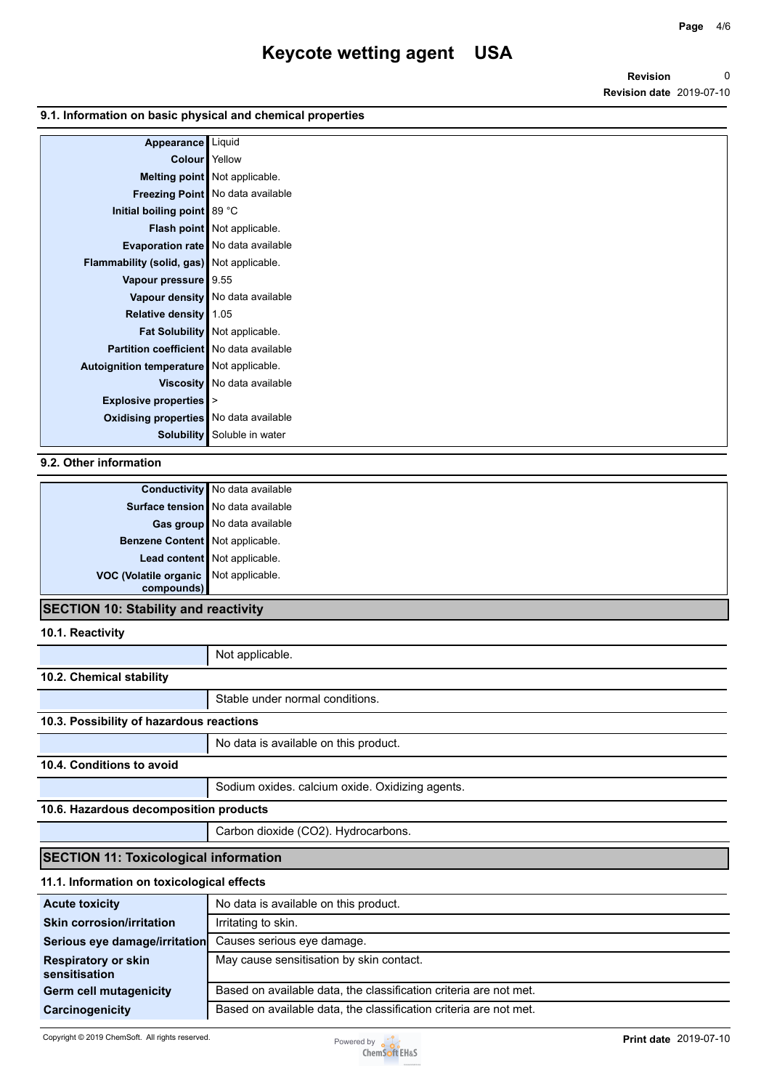#### **9.1. Information on basic physical and chemical properties**

| Appearance Liquid                              |                                       |
|------------------------------------------------|---------------------------------------|
| <b>Colour</b> Yellow                           |                                       |
|                                                | Melting point Not applicable.         |
|                                                | Freezing Point No data available      |
| Initial boiling point 89 °C                    |                                       |
|                                                | Flash point Not applicable.           |
|                                                | Evaporation rate   No data available  |
| Flammability (solid, gas) Not applicable.      |                                       |
| Vapour pressure 9.55                           |                                       |
|                                                | Vapour density   No data available    |
| Relative density 1.05                          |                                       |
|                                                | <b>Fat Solubility</b> Not applicable. |
| <b>Partition coefficient</b> No data available |                                       |
| Autoignition temperature Not applicable.       |                                       |
|                                                | Viscosity   No data available         |
| Explosive properties  >                        |                                       |
| Oxidising properties No data available         |                                       |
| Solubility                                     | Soluble in water                      |

### **9.2. Other information**

| Surface tension No data available<br>Gas group No data available |
|------------------------------------------------------------------|
|                                                                  |
|                                                                  |
| Benzene Content Not applicable.                                  |
| Lead content Not applicable.                                     |
| VOC (Volatile organic Not applicable.                            |
| compounds)                                                       |

#### **SECTION 10: Stability and reactivity**

**10.1. Reactivity**

|                                              | Not applicable.                                 |  |
|----------------------------------------------|-------------------------------------------------|--|
| 10.2. Chemical stability                     |                                                 |  |
|                                              | Stable under normal conditions.                 |  |
| 10.3. Possibility of hazardous reactions     |                                                 |  |
|                                              | No data is available on this product.           |  |
| 10.4. Conditions to avoid                    |                                                 |  |
|                                              | Sodium oxides. calcium oxide. Oxidizing agents. |  |
| 10.6. Hazardous decomposition products       |                                                 |  |
|                                              | Carbon dioxide (CO2). Hydrocarbons.             |  |
| <b>SECTION 11: Toxicological information</b> |                                                 |  |
| 11.1. Information on toxicological effects   |                                                 |  |
| <b>Acute toxicity</b>                        | No data is available on this product.           |  |
| <b>Skin corrosion/irritation</b>             | Irritating to skin.                             |  |
| Serious eye damage/irritation                | Causes serious eye damage.                      |  |
| <b>Respiratory or skin</b><br>sensitisation  | May cause sensitisation by skin contact.        |  |

Germ cell mutagenicity **Based on available data, the classification criteria are not met. Carcinogenicity** Based on available data, the classification criteria are not met.

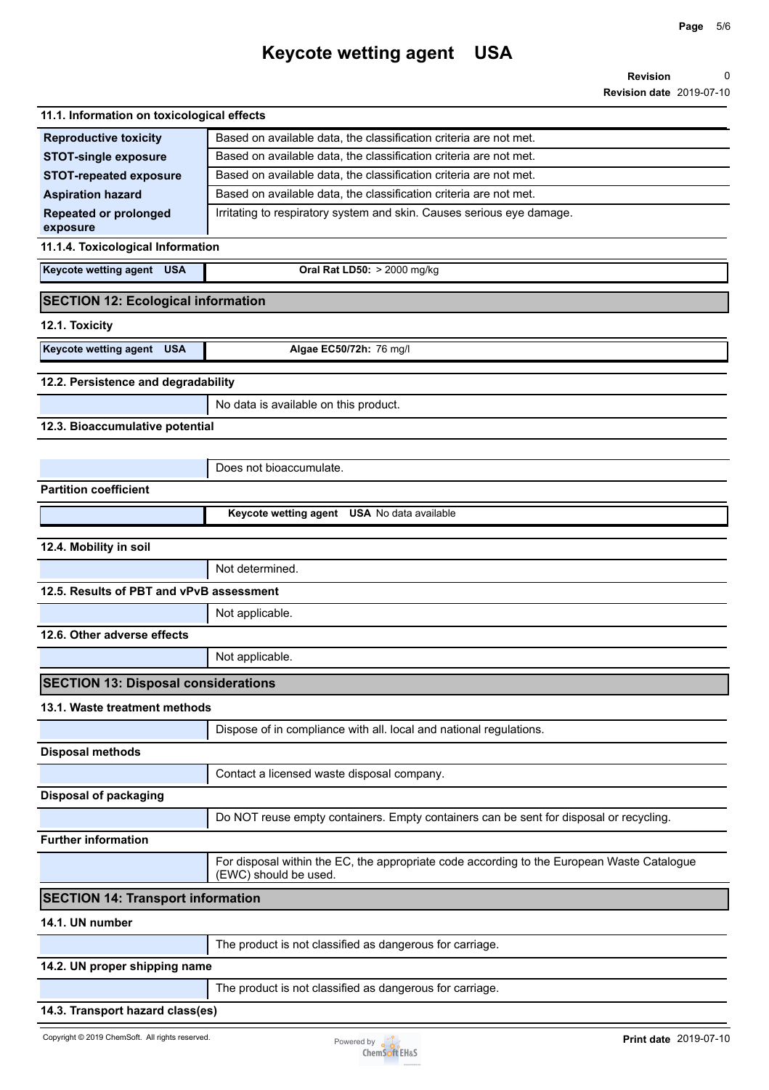**Page** 5/6

| 11.1. Information on toxicological effects |                                                                                                                     |
|--------------------------------------------|---------------------------------------------------------------------------------------------------------------------|
| <b>Reproductive toxicity</b>               | Based on available data, the classification criteria are not met.                                                   |
| <b>STOT-single exposure</b>                | Based on available data, the classification criteria are not met.                                                   |
| <b>STOT-repeated exposure</b>              | Based on available data, the classification criteria are not met.                                                   |
| <b>Aspiration hazard</b>                   | Based on available data, the classification criteria are not met.                                                   |
| <b>Repeated or prolonged</b><br>exposure   | Irritating to respiratory system and skin. Causes serious eye damage.                                               |
| 11.1.4. Toxicological Information          |                                                                                                                     |
| <b>Keycote wetting agent</b> USA           | Oral Rat LD50: > 2000 mg/kg                                                                                         |
| <b>SECTION 12: Ecological information</b>  |                                                                                                                     |
| 12.1. Toxicity                             |                                                                                                                     |
| Keycote wetting agent USA                  | Algae EC50/72h: 76 mg/l                                                                                             |
| 12.2. Persistence and degradability        |                                                                                                                     |
|                                            | No data is available on this product.                                                                               |
| 12.3. Bioaccumulative potential            |                                                                                                                     |
|                                            |                                                                                                                     |
|                                            | Does not bioaccumulate.                                                                                             |
| <b>Partition coefficient</b>               |                                                                                                                     |
|                                            | Keycote wetting agent USA No data available                                                                         |
| 12.4. Mobility in soil                     |                                                                                                                     |
|                                            | Not determined.                                                                                                     |
| 12.5. Results of PBT and vPvB assessment   |                                                                                                                     |
|                                            | Not applicable.                                                                                                     |
| 12.6. Other adverse effects                |                                                                                                                     |
|                                            | Not applicable.                                                                                                     |
| <b>SECTION 13: Disposal considerations</b> |                                                                                                                     |
| 13.1. Waste treatment methods              |                                                                                                                     |
|                                            | Dispose of in compliance with all. local and national regulations.                                                  |
| <b>Disposal methods</b>                    |                                                                                                                     |
|                                            | Contact a licensed waste disposal company.                                                                          |
| <b>Disposal of packaging</b>               |                                                                                                                     |
|                                            | Do NOT reuse empty containers. Empty containers can be sent for disposal or recycling.                              |
| <b>Further information</b>                 |                                                                                                                     |
|                                            | For disposal within the EC, the appropriate code according to the European Waste Catalogue<br>(EWC) should be used. |
| <b>SECTION 14: Transport information</b>   |                                                                                                                     |
| 14.1. UN number                            |                                                                                                                     |
|                                            | The product is not classified as dangerous for carriage.                                                            |
| 14.2. UN proper shipping name              |                                                                                                                     |
|                                            | The product is not classified as dangerous for carriage.                                                            |
| 14.3. Transport hazard class(es)           |                                                                                                                     |